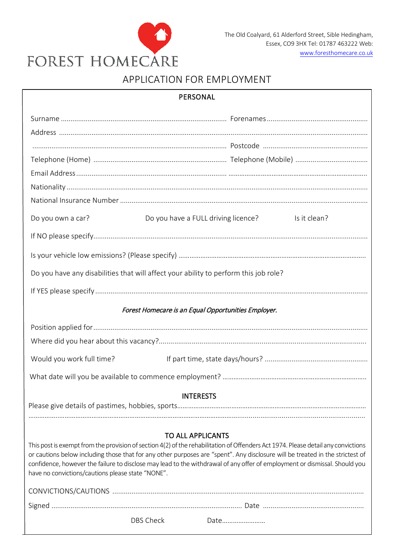

# APPLICATION FOR EMPLOYMENT

| PERSONAL                                                                                                                                                                                                                                                                                                                                                                                                                                                                          |                                                     |  |  |  |  |  |
|-----------------------------------------------------------------------------------------------------------------------------------------------------------------------------------------------------------------------------------------------------------------------------------------------------------------------------------------------------------------------------------------------------------------------------------------------------------------------------------|-----------------------------------------------------|--|--|--|--|--|
|                                                                                                                                                                                                                                                                                                                                                                                                                                                                                   |                                                     |  |  |  |  |  |
|                                                                                                                                                                                                                                                                                                                                                                                                                                                                                   |                                                     |  |  |  |  |  |
|                                                                                                                                                                                                                                                                                                                                                                                                                                                                                   |                                                     |  |  |  |  |  |
|                                                                                                                                                                                                                                                                                                                                                                                                                                                                                   |                                                     |  |  |  |  |  |
|                                                                                                                                                                                                                                                                                                                                                                                                                                                                                   |                                                     |  |  |  |  |  |
|                                                                                                                                                                                                                                                                                                                                                                                                                                                                                   |                                                     |  |  |  |  |  |
| Do you own a car?                                                                                                                                                                                                                                                                                                                                                                                                                                                                 | Do you have a FULL driving licence?<br>Is it clean? |  |  |  |  |  |
|                                                                                                                                                                                                                                                                                                                                                                                                                                                                                   |                                                     |  |  |  |  |  |
|                                                                                                                                                                                                                                                                                                                                                                                                                                                                                   |                                                     |  |  |  |  |  |
| Do you have any disabilities that will affect your ability to perform this job role?                                                                                                                                                                                                                                                                                                                                                                                              |                                                     |  |  |  |  |  |
|                                                                                                                                                                                                                                                                                                                                                                                                                                                                                   |                                                     |  |  |  |  |  |
| Forest Homecare is an Equal Opportunities Employer.                                                                                                                                                                                                                                                                                                                                                                                                                               |                                                     |  |  |  |  |  |
|                                                                                                                                                                                                                                                                                                                                                                                                                                                                                   |                                                     |  |  |  |  |  |
|                                                                                                                                                                                                                                                                                                                                                                                                                                                                                   |                                                     |  |  |  |  |  |
| Would you work full time?                                                                                                                                                                                                                                                                                                                                                                                                                                                         |                                                     |  |  |  |  |  |
|                                                                                                                                                                                                                                                                                                                                                                                                                                                                                   |                                                     |  |  |  |  |  |
|                                                                                                                                                                                                                                                                                                                                                                                                                                                                                   | <b>INTERESTS</b>                                    |  |  |  |  |  |
|                                                                                                                                                                                                                                                                                                                                                                                                                                                                                   |                                                     |  |  |  |  |  |
|                                                                                                                                                                                                                                                                                                                                                                                                                                                                                   |                                                     |  |  |  |  |  |
| <b>TO ALL APPLICANTS</b><br>This post is exempt from the provision of section 4(2) of the rehabilitation of Offenders Act 1974. Please detail any convictions<br>or cautions below including those that for any other purposes are "spent". Any disclosure will be treated in the strictest of<br>confidence, however the failure to disclose may lead to the withdrawal of any offer of employment or dismissal. Should you<br>have no convictions/cautions please state "NONE". |                                                     |  |  |  |  |  |
|                                                                                                                                                                                                                                                                                                                                                                                                                                                                                   |                                                     |  |  |  |  |  |
|                                                                                                                                                                                                                                                                                                                                                                                                                                                                                   |                                                     |  |  |  |  |  |
| <b>DBS Check</b>                                                                                                                                                                                                                                                                                                                                                                                                                                                                  | Date                                                |  |  |  |  |  |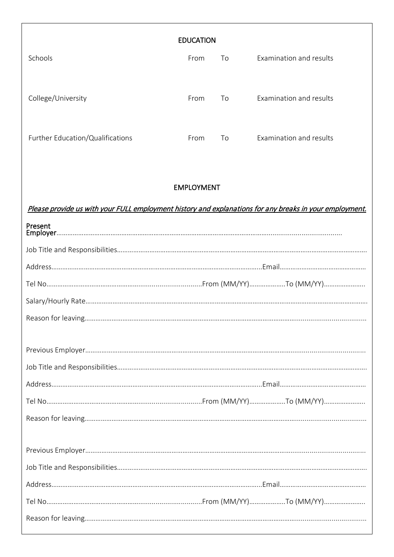|                                  | <b>EDUCATION</b> |    |                         |
|----------------------------------|------------------|----|-------------------------|
| Schools                          | From             | To | Examination and results |
|                                  |                  |    |                         |
| College/University               | From             | To | Examination and results |
|                                  |                  |    |                         |
| Further Education/Qualifications | From             | To | Examination and results |
|                                  |                  |    |                         |

## EMPLOYMENT

Please provide us with your FULL employment history and explanations for any breaks in your employment.

| Present |  |
|---------|--|
|         |  |
|         |  |
|         |  |
|         |  |
|         |  |
|         |  |
|         |  |
|         |  |
|         |  |
|         |  |
|         |  |
|         |  |
|         |  |
|         |  |
|         |  |
|         |  |
|         |  |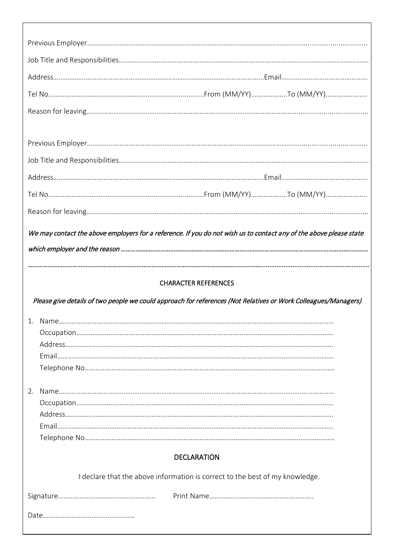|    | We may contact the above employers for a reference. If you do not wish us to contact any of the above please state |
|----|--------------------------------------------------------------------------------------------------------------------|
|    |                                                                                                                    |
|    |                                                                                                                    |
|    | <b>CHARACTER REFERENCES</b>                                                                                        |
|    | Please give details of two people we could approach for references (Not Relatives or Work Colleagues/Managers)     |
|    |                                                                                                                    |
|    |                                                                                                                    |
|    |                                                                                                                    |
|    |                                                                                                                    |
|    |                                                                                                                    |
| 2. |                                                                                                                    |
|    |                                                                                                                    |
|    |                                                                                                                    |
|    |                                                                                                                    |
|    |                                                                                                                    |
|    | <b>DECLARATION</b>                                                                                                 |
|    |                                                                                                                    |
|    | I declare that the above information is correct to the best of my knowledge.                                       |
|    |                                                                                                                    |
|    |                                                                                                                    |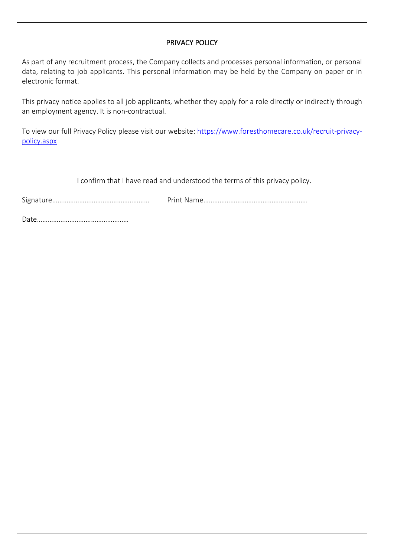### PRIVACY POLICY

As part of any recruitment process, the Company collects and processes personal information, or personal data, relating to job applicants. This personal information may be held by the Company on paper or in electronic format.

This privacy notice applies to all job applicants, whether they apply for a role directly or indirectly through an employment agency. It is non-contractual.

To view our full Privacy Policy please visit our website: [https://www.foresthomecare.co.uk/recruit-privacy](https://www.foresthomecare.co.uk/recruit-privacy-policy.aspx)[policy.aspx](https://www.foresthomecare.co.uk/recruit-privacy-policy.aspx) 

I confirm that I have read and understood the terms of this privacy policy.

Signature……………………………………………… Print Name………………………………………………….

Date……………………………………………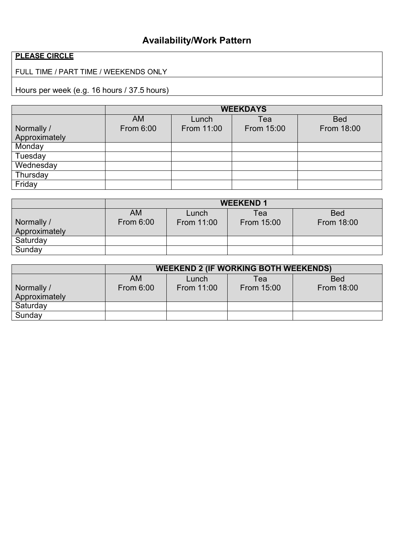# **Availability/Work Pattern**

# **PLEASE CIRCLE**

# FULL TIME / PART TIME / WEEKENDS ONLY

Hours per week (e.g. 16 hours / 37.5 hours)

|               | <b>WEEKDAYS</b> |            |            |            |  |  |
|---------------|-----------------|------------|------------|------------|--|--|
|               | <b>AM</b>       | Lunch      | Tea        | <b>Bed</b> |  |  |
| Normally /    | From 6:00       | From 11:00 | From 15:00 | From 18:00 |  |  |
| Approximately |                 |            |            |            |  |  |
| Monday        |                 |            |            |            |  |  |
| Tuesday       |                 |            |            |            |  |  |
| Wednesday     |                 |            |            |            |  |  |
| Thursday      |                 |            |            |            |  |  |
| Friday        |                 |            |            |            |  |  |

|               | <b>WEEKEND 1</b> |            |            |            |  |  |
|---------------|------------------|------------|------------|------------|--|--|
|               | <b>AM</b>        | Lunch      | Tea        | <b>Bed</b> |  |  |
| Normally /    | From 6:00        | From 11:00 | From 15:00 | From 18:00 |  |  |
| Approximately |                  |            |            |            |  |  |
| Saturday      |                  |            |            |            |  |  |
| Sunday        |                  |            |            |            |  |  |

|               | <b>WEEKEND 2 (IF WORKING BOTH WEEKENDS)</b> |            |            |            |  |  |
|---------------|---------------------------------------------|------------|------------|------------|--|--|
|               | <b>AM</b>                                   | Lunch      | Tea        | <b>Bed</b> |  |  |
| Normally /    | <b>From 6:00</b>                            | From 11:00 | From 15:00 | From 18:00 |  |  |
| Approximately |                                             |            |            |            |  |  |
| Saturday      |                                             |            |            |            |  |  |
| Sunday        |                                             |            |            |            |  |  |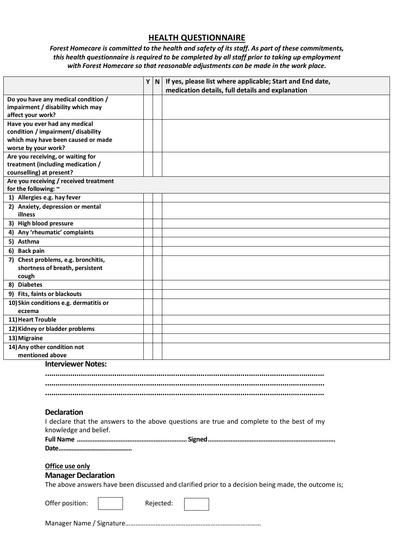### **HEALTH QUESTIONNAIRE**

#### *Forest Homecare is committed to the health and safety of its staff. As part of these commitments, this health questionnaire is required to be completed by all staff prior to taking up employment with Forest Homecare so that reasonable adjustments can be made in the work place.*

|                                                                | Y N | If yes, please list where applicable; Start and End date,                                           |
|----------------------------------------------------------------|-----|-----------------------------------------------------------------------------------------------------|
|                                                                |     | medication details, full details and explanation                                                    |
| Do you have any medical condition /                            |     |                                                                                                     |
| impairment / disability which may                              |     |                                                                                                     |
| affect your work?                                              |     |                                                                                                     |
| Have you ever had any medical                                  |     |                                                                                                     |
| condition / impairment/ disability                             |     |                                                                                                     |
| which may have been caused or made                             |     |                                                                                                     |
| worse by your work?                                            |     |                                                                                                     |
| Are you receiving, or waiting for                              |     |                                                                                                     |
| treatment (including medication /                              |     |                                                                                                     |
| counselling) at present?                                       |     |                                                                                                     |
| Are you receiving / received treatment<br>for the following: ~ |     |                                                                                                     |
| 1) Allergies e.g. hay fever                                    |     |                                                                                                     |
|                                                                |     |                                                                                                     |
| 2) Anxiety, depression or mental<br>illness                    |     |                                                                                                     |
| 3) High blood pressure                                         |     |                                                                                                     |
|                                                                |     |                                                                                                     |
| 4) Any 'rheumatic' complaints                                  |     |                                                                                                     |
| 5) Asthma                                                      |     |                                                                                                     |
| 6) Back pain                                                   |     |                                                                                                     |
| 7) Chest problems, e.g. bronchitis,                            |     |                                                                                                     |
| shortness of breath, persistent                                |     |                                                                                                     |
| cough<br>8) Diabetes                                           |     |                                                                                                     |
|                                                                |     |                                                                                                     |
| 9) Fits, faints or blackouts                                   |     |                                                                                                     |
| 10) Skin conditions e.g. dermatitis or                         |     |                                                                                                     |
| eczema<br>11) Heart Trouble                                    |     |                                                                                                     |
|                                                                |     |                                                                                                     |
| 12) Kidney or bladder problems                                 |     |                                                                                                     |
| 13) Migraine                                                   |     |                                                                                                     |
| 14) Any other condition not<br>mentioned above                 |     |                                                                                                     |
|                                                                |     |                                                                                                     |
| <b>Interviewer Notes:</b>                                      |     |                                                                                                     |
|                                                                |     |                                                                                                     |
|                                                                |     |                                                                                                     |
|                                                                |     |                                                                                                     |
|                                                                |     |                                                                                                     |
| <b>Declaration</b>                                             |     |                                                                                                     |
|                                                                |     | I declare that the answers to the above questions are true and complete to the best of my           |
| knowledge and belief.                                          |     |                                                                                                     |
|                                                                |     |                                                                                                     |
|                                                                |     |                                                                                                     |
|                                                                |     |                                                                                                     |
| Office use only                                                |     |                                                                                                     |
| <b>Manager Declaration</b>                                     |     |                                                                                                     |
|                                                                |     | The above answers have been discussed and clarified prior to a decision being made, the outcome is; |
|                                                                |     |                                                                                                     |
|                                                                |     |                                                                                                     |
| Offer position:                                                |     | Rejected:                                                                                           |
|                                                                |     |                                                                                                     |
|                                                                |     |                                                                                                     |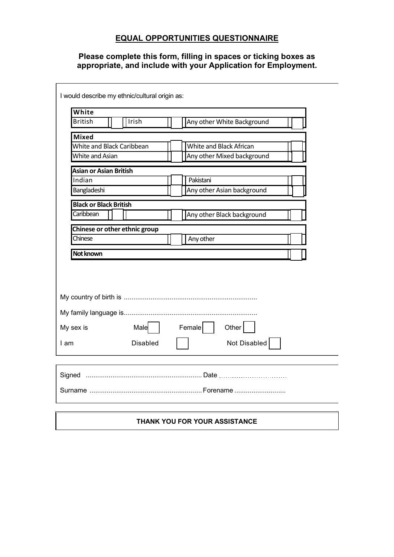### **EQUAL OPPORTUNITIES QUESTIONNAIRE**

**Please complete this form, filling in spaces or ticking boxes as appropriate, and include with your Application for Employment.**

 $\mathsf{r}$ 

| White                         |                               |                            |
|-------------------------------|-------------------------------|----------------------------|
| <b>British</b>                | Irish                         | Any other White Background |
| <b>Mixed</b>                  |                               |                            |
|                               | White and Black Caribbean     | White and Black African    |
| White and Asian               |                               | Any other Mixed background |
| <b>Asian or Asian British</b> |                               |                            |
| Indian                        |                               | Pakistani                  |
| Bangladeshi                   |                               | Any other Asian background |
| <b>Black or Black British</b> |                               |                            |
| Caribbean                     |                               | Any other Black background |
|                               | Chinese or other ethnic group |                            |
| Chinese                       |                               | Any other                  |
|                               |                               |                            |
|                               |                               |                            |
| Not known                     |                               |                            |
|                               |                               |                            |
|                               |                               |                            |
| My sex is                     | Male                          | Female  <br>Other          |
| I am                          | <b>Disabled</b>               | Not Disabled               |
|                               |                               |                            |
|                               |                               |                            |
|                               |                               |                            |

#### **THANK YOU FOR YOUR ASSISTANCE**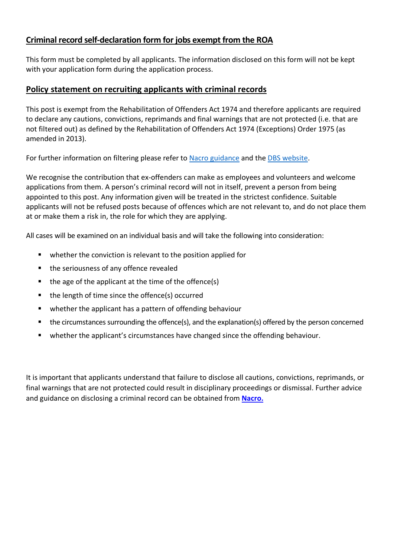### **Criminal record self-declaration form for jobs exempt from the ROA**

This form must be completed by all applicants. The information disclosed on this form will not be kept with your application form during the application process.

### **Policy statement on recruiting applicants with criminal records**

This post is exempt from the Rehabilitation of Offenders Act 1974 and therefore applicants are required to declare any cautions, convictions, reprimands and final warnings that are not protected (i.e. that are not filtered out) as defined by the Rehabilitation of Offenders Act 1974 (Exceptions) Order 1975 (as amended in 2013).

For further information on filtering please refer to [Nacro guidance](https://www.nacro.org.uk/wp-content/uploads/2014/06/practical-guidance-on-dbs-filtering.pdf) and the [DBS website.](https://www.gov.uk/government/publications/dbs-filtering-guidance)

We recognise the contribution that ex-offenders can make as employees and volunteers and welcome applications from them. A person's criminal record will not in itself, prevent a person from being appointed to this post. Any information given will be treated in the strictest confidence. Suitable applicants will not be refused posts because of offences which are not relevant to, and do not place them at or make them a risk in, the role for which they are applying.

All cases will be examined on an individual basis and will take the following into consideration:

- **•** whether the conviction is relevant to the position applied for
- the seriousness of any offence revealed
- $\blacksquare$  the age of the applicant at the time of the offence(s)
- the length of time since the offence(s) occurred
- **•** whether the applicant has a pattern of offending behaviour
- the circumstances surrounding the offence(s), and the explanation(s) offered by the person concerned
- **•** whether the applicant's circumstances have changed since the offending behaviour.

It is important that applicants understand that failure to disclose all cautions, convictions, reprimands, or final warnings that are not protected could result in disciplinary proceedings or dismissal. Further advice and guidance on disclosing a criminal record can be obtained from **[Nacro.](http://www.nacro.org.uk/data/files/practical-guidance-on-dbs-filtering-1032.pdf)**